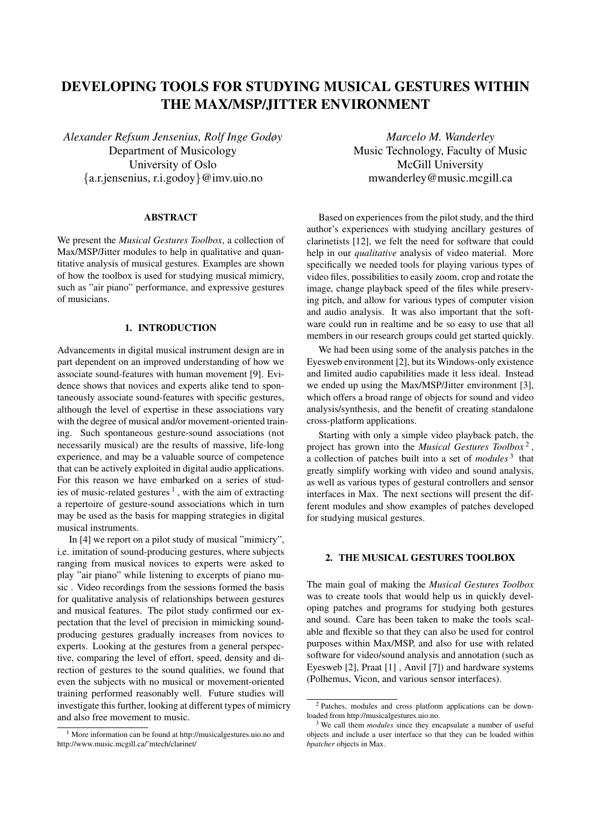# DEVELOPING TOOLS FOR STUDYING MUSICAL GESTURES WITHIN THE MAX/MSP/JITTER ENVIRONMENT

*Alexander Refsum Jensenius, Rolf Inge Godøy* Department of Musicology University of Oslo *{*a.r.jensenius, r.i.godoy*}*@imv.uio.no

# ABSTRACT

We present the *Musical Gestures Toolbox*, a collection of Max/MSP/Jitter modules to help in qualitative and quantitative analysis of musical gestures. Examples are shown of how the toolbox is used for studying musical mimicry, such as "air piano" performance, and expressive gestures of musicians.

### 1. INTRODUCTION

Advancements in digital musical instrument design are in part dependent on an improved understanding of how we associate sound-features with human movement [9]. Evidence shows that novices and experts alike tend to spontaneously associate sound-features with specific gestures, although the level of expertise in these associations vary with the degree of musical and/or movement-oriented training. Such spontaneous gesture-sound associations (not necessarily musical) are the results of massive, life-long experience, and may be a valuable source of competence that can be actively exploited in digital audio applications. For this reason we have embarked on a series of studies of music-related gestures<sup>1</sup>, with the aim of extracting a repertoire of gesture-sound associations which in turn may be used as the basis for mapping strategies in digital musical instruments.

In [4] we report on a pilot study of musical "mimicry", i.e. imitation of sound-producing gestures, where subjects ranging from musical novices to experts were asked to play "air piano" while listening to excerpts of piano music . Video recordings from the sessions formed the basis for qualitative analysis of relationships between gestures and musical features. The pilot study confirmed our expectation that the level of precision in mimicking soundproducing gestures gradually increases from novices to experts. Looking at the gestures from a general perspective, comparing the level of effort, speed, density and direction of gestures to the sound qualities, we found that even the subjects with no musical or movement-oriented training performed reasonably well. Future studies will investigate this further, looking at different types of mimicry and also free movement to music.

*Marcelo M. Wanderley* Music Technology, Faculty of Music McGill University mwanderley@music.mcgill.ca

Based on experiences from the pilot study, and the third author's experiences with studying ancillary gestures of clarinetists [12], we felt the need for software that could help in our *qualitative* analysis of video material. More specifically we needed tools for playing various types of video files, possibilities to easily zoom, crop and rotate the image, change playback speed of the files while preserving pitch, and allow for various types of computer vision and audio analysis. It was also important that the software could run in realtime and be so easy to use that all members in our research groups could get started quickly.

We had been using some of the analysis patches in the Eyesweb environment [2], but its Windows-only existence and limited audio capabilities made it less ideal. Instead we ended up using the Max/MSP/Jitter environment [3], which offers a broad range of objects for sound and video analysis/synthesis, and the benefit of creating standalone cross-platform applications.

Starting with only a simple video playback patch, the project has grown into the *Musical Gestures Toolbox* <sup>2</sup> , a collection of patches built into a set of *modules* <sup>3</sup> that greatly simplify working with video and sound analysis, as well as various types of gestural controllers and sensor interfaces in Max. The next sections will present the different modules and show examples of patches developed for studying musical gestures.

## 2. THE MUSICAL GESTURES TOOLBOX

The main goal of making the *Musical Gestures Toolbox* was to create tools that would help us in quickly developing patches and programs for studying both gestures and sound. Care has been taken to make the tools scalable and flexible so that they can also be used for control purposes within Max/MSP, and also for use with related software for video/sound analysis and annotation (such as Eyesweb [2], Praat [1] , Anvil [7]) and hardware systems (Polhemus, Vicon, and various sensor interfaces).

<sup>1</sup> More information can be found at http://musicalgestures.uio.no and http://www.music.mcgill.ca/˜mtech/clarinet/

<sup>2</sup> Patches, modules and cross platform applications can be downloaded from http://musicalgestures.uio.no.

<sup>3</sup> We call them *modules* since they encapsulate a number of useful objects and include a user interface so that they can be loaded within *bpatcher* objects in Max.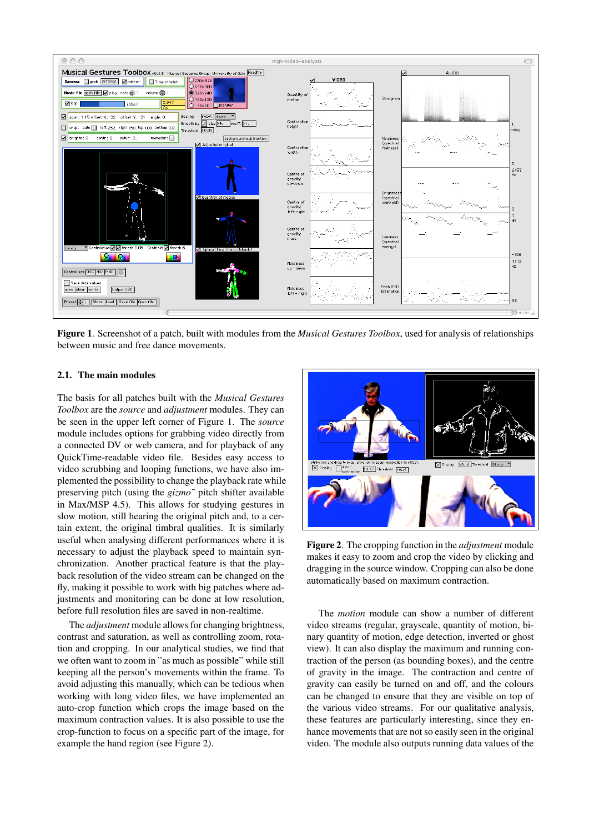

Figure 1. Screenshot of a patch, built with modules from the *Musical Gestures Toolbox*, used for analysis of relationships between music and free dance movements.

# 2.1. The main modules

The basis for all patches built with the *Musical Gestures Toolbox* are the *source* and *adjustment* modules. They can be seen in the upper left corner of Figure 1. The *source* module includes options for grabbing video directly from a connected DV or web camera, and for playback of any QuickTime-readable video file. Besides easy access to video scrubbing and looping functions, we have also implemented the possibility to change the playback rate while preserving pitch (using the *gizmo˜* pitch shifter available in Max/MSP 4.5). This allows for studying gestures in slow motion, still hearing the original pitch and, to a certain extent, the original timbral qualities. It is similarly useful when analysing different performances where it is necessary to adjust the playback speed to maintain synchronization. Another practical feature is that the playback resolution of the video stream can be changed on the fly, making it possible to work with big patches where adjustments and monitoring can be done at low resolution, before full resolution files are saved in non-realtime.

The *adjustment* module allows for changing brightness, contrast and saturation, as well as controlling zoom, rotation and cropping. In our analytical studies, we find that we often want to zoom in "as much as possible" while still keeping all the person's movements within the frame. To avoid adjusting this manually, which can be tedious when working with long video files, we have implemented an auto-crop function which crops the image based on the maximum contraction values. It is also possible to use the crop-function to focus on a specific part of the image, for example the hand region (see Figure 2).



Figure 2. The cropping function in the *adjustment* module makes it easy to zoom and crop the video by clicking and dragging in the source window. Cropping can also be done automatically based on maximum contraction.

The *motion* module can show a number of different video streams (regular, grayscale, quantity of motion, binary quantity of motion, edge detection, inverted or ghost view). It can also display the maximum and running contraction of the person (as bounding boxes), and the centre of gravity in the image. The contraction and centre of gravity can easily be turned on and off, and the colours can be changed to ensure that they are visible on top of the various video streams. For our qualitative analysis, these features are particularly interesting, since they enhance movements that are not so easily seen in the original video. The module also outputs running data values of the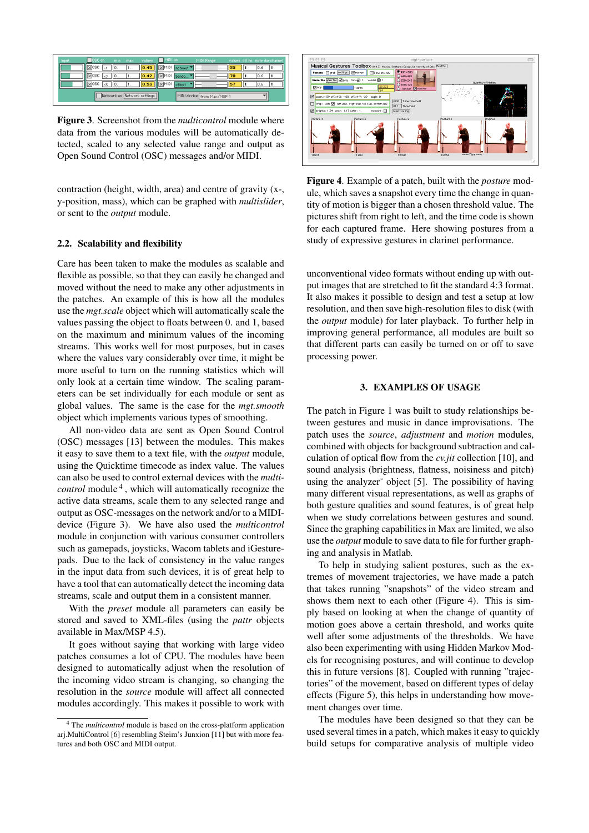| Input | OSC on                           | max<br>min. | values                      | MIDI on |                  | MIDI Range                 |    |     | values otlino inote-durichannel |
|-------|----------------------------------|-------------|-----------------------------|---------|------------------|----------------------------|----|-----|---------------------------------|
|       | $\times$ losc                    |             | 0.45                        |         | d X MIDI noteout |                            | 55 | 0.6 |                                 |
|       | <b>Selosc</b>                    |             | 0.42                        |         | ISIMIDI bendo    |                            | 70 | 0.6 |                                 |
|       | <b>X</b> losc<br>$6\overline{5}$ |             | 0.53 XMDI ctlout            |         |                  |                            | 57 | 0.6 |                                 |
|       |                                  |             | Network on Network settings |         |                  | MIDI device from Max/MSP 1 |    |     |                                 |

Figure 3. Screenshot from the *multicontrol* module where data from the various modules will be automatically detected, scaled to any selected value range and output as Open Sound Control (OSC) messages and/or MIDI.

contraction (height, width, area) and centre of gravity (x-, y-position, mass), which can be graphed with *multislider*, or sent to the *output* module.

## 2.2. Scalability and flexibility

Care has been taken to make the modules as scalable and flexible as possible, so that they can easily be changed and moved without the need to make any other adjustments in the patches. An example of this is how all the modules use the *mgt.scale* object which will automatically scale the values passing the object to floats between 0. and 1, based on the maximum and minimum values of the incoming streams. This works well for most purposes, but in cases where the values vary considerably over time, it might be more useful to turn on the running statistics which will only look at a certain time window. The scaling parameters can be set individually for each module or sent as global values. The same is the case for the *mgt.smooth* object which implements various types of smoothing.

All non-video data are sent as Open Sound Control (OSC) messages [13] between the modules. This makes it easy to save them to a text file, with the *output* module, using the Quicktime timecode as index value. The values can also be used to control external devices with the *multicontrol* module<sup>4</sup>, which will automatically recognize the active data streams, scale them to any selected range and output as OSC-messages on the network and/or to a MIDIdevice (Figure 3). We have also used the *multicontrol* module in conjunction with various consumer controllers such as gamepads, joysticks, Wacom tablets and iGesturepads. Due to the lack of consistency in the value ranges in the input data from such devices, it is of great help to have a tool that can automatically detect the incoming data streams, scale and output them in a consistent manner.

With the *preset* module all parameters can easily be stored and saved to XML-files (using the *pattr* objects available in Max/MSP 4.5).

It goes without saying that working with large video patches consumes a lot of CPU. The modules have been designed to automatically adjust when the resolution of the incoming video stream is changing, so changing the resolution in the *source* module will affect all connected modules accordingly. This makes it possible to work with



Figure 4. Example of a patch, built with the *posture* module, which saves a snapshot every time the change in quantity of motion is bigger than a chosen threshold value. The pictures shift from right to left, and the time code is shown for each captured frame. Here showing postures from a study of expressive gestures in clarinet performance.

unconventional video formats without ending up with output images that are stretched to fit the standard 4:3 format. It also makes it possible to design and test a setup at low resolution, and then save high-resolution files to disk (with the *output* module) for later playback. To further help in improving general performance, all modules are built so that different parts can easily be turned on or off to save processing power.

## 3. EXAMPLES OF USAGE

The patch in Figure 1 was built to study relationships between gestures and music in dance improvisations. The patch uses the *source*, *adjustment* and *motion* modules, combined with objects for background subtraction and calculation of optical flow from the *cv.jit* collection [10], and sound analysis (brightness, flatness, noisiness and pitch) using the analyzer~ object [5]. The possibility of having many different visual representations, as well as graphs of both gesture qualities and sound features, is of great help when we study correlations between gestures and sound. Since the graphing capabilities in Max are limited, we also use the *output* module to save data to file for further graphing and analysis in Matlab.

To help in studying salient postures, such as the extremes of movement trajectories, we have made a patch that takes running "snapshots" of the video stream and shows them next to each other (Figure 4). This is simply based on looking at when the change of quantity of motion goes above a certain threshold, and works quite well after some adjustments of the thresholds. We have also been experimenting with using Hidden Markov Models for recognising postures, and will continue to develop this in future versions [8]. Coupled with running "trajectories" of the movement, based on different types of delay effects (Figure 5), this helps in understanding how movement changes over time.

The modules have been designed so that they can be used several times in a patch, which makes it easy to quickly build setups for comparative analysis of multiple video

<sup>4</sup> The *multicontrol* module is based on the cross-platform application arj.MultiControl [6] resembling Steim's Junxion [11] but with more features and both OSC and MIDI output.